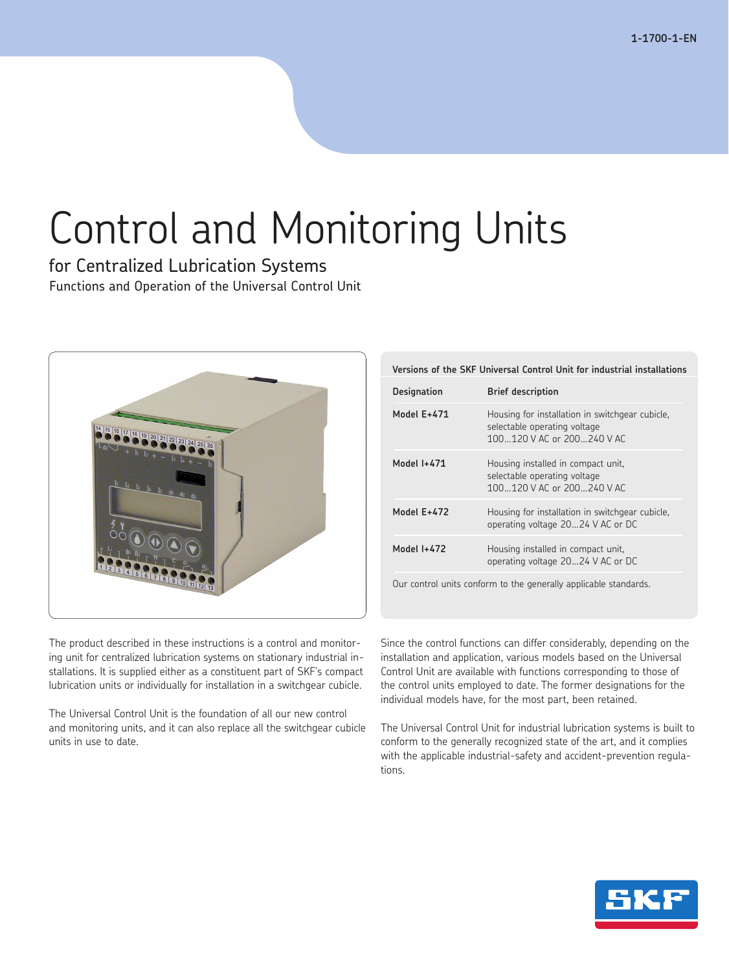# Control and Monitoring Units

for Centralized Lubrication Systems Functions and Operation of the Universal Control Unit



## **Versions of the SKF Universal Control Unit for industrial installations**

| Designation | <b>Brief description</b>                                                                                      |
|-------------|---------------------------------------------------------------------------------------------------------------|
| Model E+471 | Housing for installation in switchgear cubicle,<br>selectable operating voltage<br>100120 V AC or 200240 V AC |
| Model 1+471 | Housing installed in compact unit,<br>selectable operating voltage<br>100120 V AC or 200240 V AC              |
| Model E+472 | Housing for installation in switchgear cubicle,<br>operating voltage 2024 V AC or DC                          |
| Model 1+472 | Housing installed in compact unit,<br>operating voltage 2024 V AC or DC                                       |
|             |                                                                                                               |

Our control units conform to the generally applicable standards.

The product described in these instructions is a control and monitoring unit for centralized lubrication systems on stationary industrial installations. It is supplied either as a constituent part of SKF's compact lubrication units or individually for installation in a switchgear cubicle.

The Universal Control Unit is the foundation of all our new control and monitoring units, and it can also replace all the switchgear cubicle units in use to date.

Since the control functions can differ considerably, depending on the installation and application, various models based on the Universal Control Unit are available with functions corresponding to those of the control units employed to date. The former designations for the individual models have, for the most part, been retained.

The Universal Control Unit for industrial lubrication systems is built to conform to the generally recognized state of the art, and it complies with the applicable industrial-safety and accident-prevention regulations.

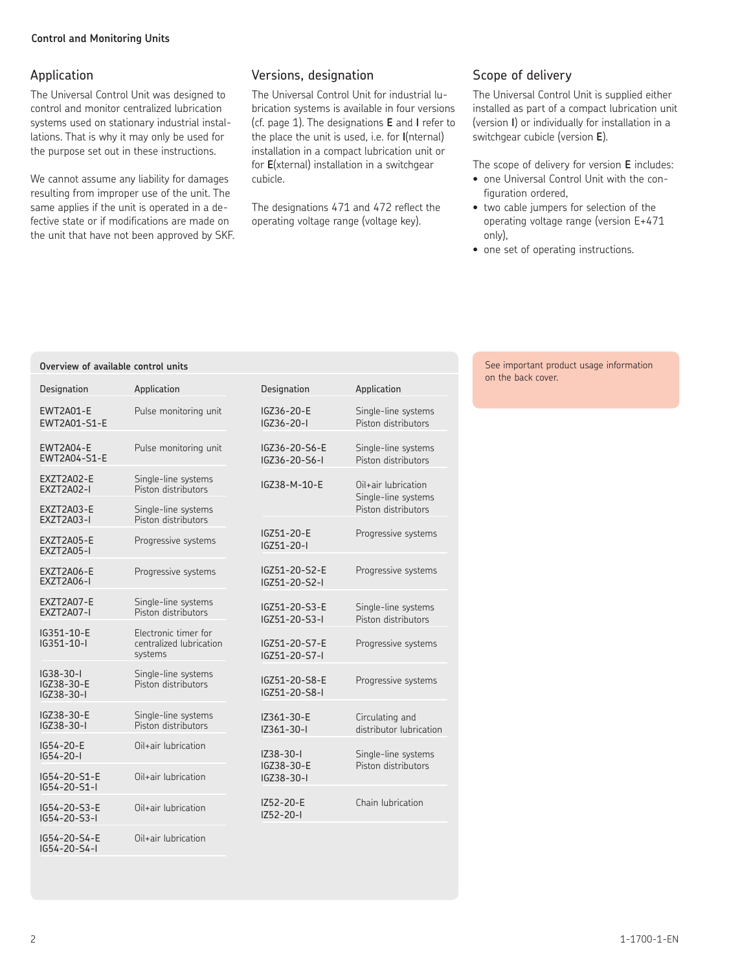## Application

The Universal Control Unit was designed to control and monitor centralized lubrication systems used on stationary industrial installations. That is why it may only be used for the purpose set out in these instructions.

We cannot assume any liability for damages resulting from improper use of the unit. The same applies if the unit is operated in a defective state or if modifications are made on the unit that have not been approved by SKF.

**Overview of available control units**

## Versions, designation

The Universal Control Unit for industrial lubrication systems is available in four versions (cf. page 1). The designations **E** and **I** refer to the place the unit is used, i.e. for **I**(nternal) installation in a compact lubrication unit or for **E**(xternal) installation in a switchgear cubicle.

The designations 471 and 472 reflect the operating voltage range (voltage key).

## Scope of delivery

The Universal Control Unit is supplied either installed as part of a compact lubrication unit (version **I**) or individually for installation in a switchgear cubicle (version **E**).

The scope of delivery for version **E** includes:

- one Universal Control Unit with the configuration ordered,
- two cable jumpers for selection of the operating voltage range (version E+471 only),
- one set of operating instructions.

#### See important product usage information on the back cover.

| Designation                                 | Application                                                | Designation                    | Application                                |
|---------------------------------------------|------------------------------------------------------------|--------------------------------|--------------------------------------------|
| <b>EWT2A01-E</b><br>EWT2A01-S1-E            | Pulse monitoring unit                                      | IGZ36-20-E<br>$IGZ36 - 20 - I$ | Single-line systems<br>Piston distributors |
| EWT2A04-E<br>EWT2A04-S1-E                   | Pulse monitoring unit                                      | IGZ36-20-S6-E<br>IGZ36-20-S6-I | Single-line systems<br>Piston distributors |
| EXZT2A02-E<br><b>EXZT2A02-I</b>             | Single-line systems<br>Piston distributors                 | IGZ38-M-10-E                   | Oil+air lubrication<br>Single-line systems |
| EXZT2A03-E<br><b>EXZT2A03-I</b>             | Single-line systems<br>Piston distributors                 |                                | Piston distributors                        |
| EXZT2A05-E<br><b>EXZT2A05-I</b>             | Progressive systems                                        | IGZ51-20-E<br>$IGZ51 - 20 - I$ | Progressive systems                        |
| EXZT2A06-E<br><b>EXZT2A06-I</b>             | Progressive systems                                        | IGZ51-20-S2-E<br>IGZ51-20-S2-I | Progressive systems                        |
| EXZT2A07-E<br><b>EXZT2A07-I</b>             | Single-line systems<br>Piston distributors                 | IGZ51-20-S3-E<br>IGZ51-20-S3-I | Single-line systems<br>Piston distributors |
| IG351-10-E<br>IG351-10-I                    | Electronic timer for<br>centralized lubrication<br>systems | IGZ51-20-S7-E<br>IGZ51-20-S7-I | Progressive systems                        |
| $IG38 - 30 - I$<br>IGZ38-30-E<br>IGZ38-30-I | Single-line systems<br>Piston distributors                 | IGZ51-20-S8-E<br>IGZ51-20-S8-I | Progressive systems                        |
| IGZ38-30-E<br>IGZ38-30-I                    | Single-line systems<br>Piston distributors                 | IZ361-30-E<br>$IZ361-30-I$     | Circulating and<br>distributor lubrication |
| IG54-20-E<br>$IG54 - 20 - I$                | Oil+air lubrication                                        | $IZ38-30-1$                    | Single-line systems<br>Piston distributors |
| IG54-20-S1-E<br>$IG54 - 20 - S1 - I$        | Oil+air lubrication                                        | IGZ38-30-E<br>IGZ38-30-I       |                                            |
| IG54-20-S3-E<br>$IG54 - 20 - S3 - I$        | Oil+air lubrication                                        | IZ52-20-E<br>$IZ52-20-1$       | Chain lubrication                          |
| IG54-20-S4-E<br>IG54-20-S4-I                | Oil+air lubrication                                        |                                |                                            |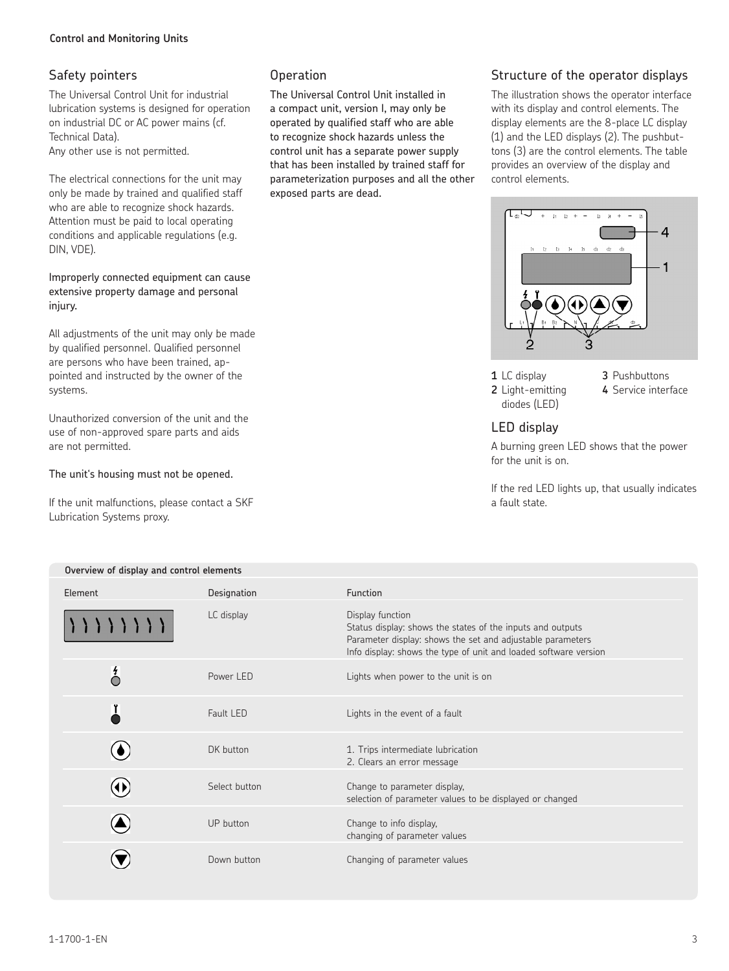## Safety pointers

The Universal Control Unit for industrial lubrication systems is designed for operation on industrial DC or AC power mains (cf. Technical Data). Any other use is not permitted.

The electrical connections for the unit may only be made by trained and qualified staff who are able to recognize shock hazards. Attention must be paid to local operating conditions and applicable regulations (e.g. DIN, VDE).

Improperly connected equipment can cause extensive property damage and personal injury.

All adjustments of the unit may only be made by qualified personnel. Qualified personnel are persons who have been trained, appointed and instructed by the owner of the systems.

Unauthorized conversion of the unit and the use of non-approved spare parts and aids are not permitted.

The unit's housing must not be opened.

If the unit malfunctions, please contact a SKF Lubrication Systems proxy.

## Operation

The Universal Control Unit installed in a compact unit, version I, may only be operated by qualified staff who are able to recognize shock hazards unless the control unit has a separate power supply that has been installed by trained staff for parameterization purposes and all the other exposed parts are dead.

## Structure of the operator displays

The illustration shows the operator interface with its display and control elements. The display elements are the 8-place LC display (1) and the LED displays (2). The pushbuttons (3) are the control elements. The table provides an overview of the display and control elements.



**1** LC display **3** Pushbuttons diodes (LED)

**2** Light-emitting **4** Service interface

## LED display

A burning green LED shows that the power for the unit is on.

If the red LED lights up, that usually indicates a fault state.

| Overview of display and control elements |               |                                                                                                                                                                                                                  |  |  |
|------------------------------------------|---------------|------------------------------------------------------------------------------------------------------------------------------------------------------------------------------------------------------------------|--|--|
| Element                                  | Designation   | <b>Function</b>                                                                                                                                                                                                  |  |  |
|                                          | LC display    | Display function<br>Status display: shows the states of the inputs and outputs<br>Parameter display: shows the set and adjustable parameters<br>Info display: shows the type of unit and loaded software version |  |  |
| $\sigma$                                 | Power LED     | Lights when power to the unit is on                                                                                                                                                                              |  |  |
| Ľ                                        | Fault LED     | Lights in the event of a fault                                                                                                                                                                                   |  |  |
|                                          | DK button     | 1. Trips intermediate lubrication<br>2. Clears an error message                                                                                                                                                  |  |  |
| E)                                       | Select button | Change to parameter display,<br>selection of parameter values to be displayed or changed                                                                                                                         |  |  |
|                                          | UP button     | Change to info display,<br>changing of parameter values                                                                                                                                                          |  |  |
|                                          | Down button   | Changing of parameter values                                                                                                                                                                                     |  |  |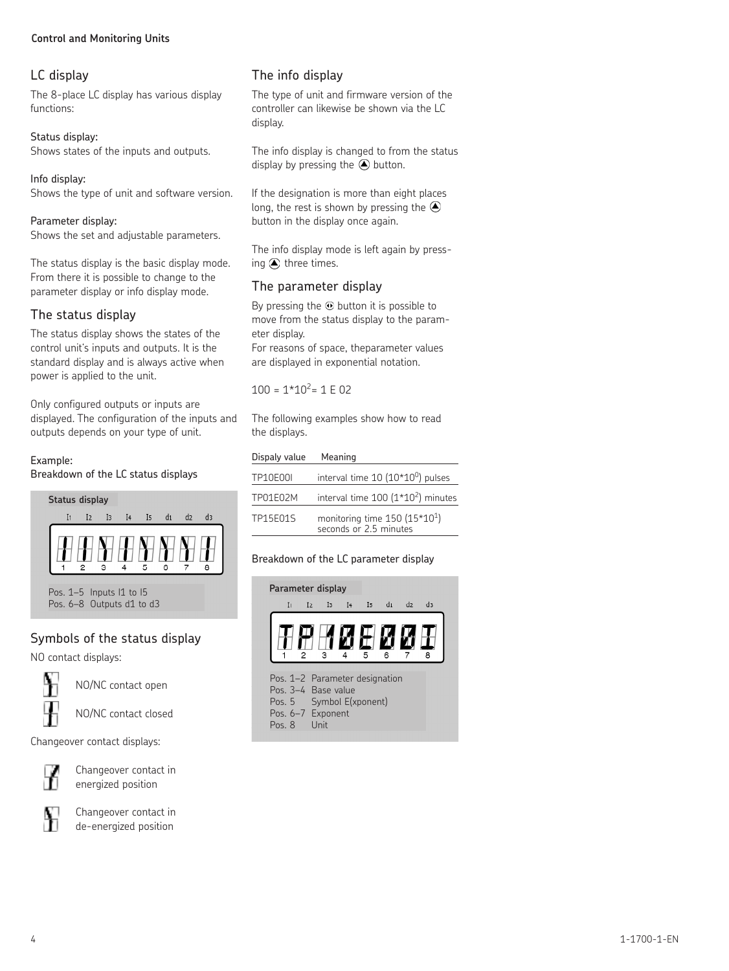#### **Control and Monitoring Units**

## LC display

The 8-place LC display has various display functions:

Status display: Shows states of the inputs and outputs.

Info display: Shows the type of unit and software version.

#### Parameter display:

Shows the set and adjustable parameters.

The status display is the basic display mode. From there it is possible to change to the parameter display or info display mode.

## The status display

The status display shows the states of the control unit's inputs and outputs. It is the standard display and is always active when power is applied to the unit.

Only configured outputs or inputs are displayed. The configuration of the inputs and outputs depends on your type of unit.

#### Example:

Breakdown of the LC status displays



Pos. 6–8 Outputs d1 to d3

## Symbols of the status display

NO contact displays:



NO/NC contact open

NO/NC contact closed

Changeover contact displays:



Changeover contact in energized position



Changeover contact in de-energized position

## The info display

The type of unit and firmware version of the controller can likewise be shown via the LC display.

The info display is changed to from the status display by pressing the  $\bigcirc$  button.

If the designation is more than eight places long, the rest is shown by pressing the  $\bigcirc$ button in the display once again.

The info display mode is left again by pressing  $\bigcirc$  three times.

## The parameter display

By pressing the  $\odot$  button it is possible to move from the status display to the parameter display.

For reasons of space, theparameter values are displayed in exponential notation.

 $100 = 1*10<sup>2</sup> = 1 E 02$ 

The following examples show how to read the displays.

| Dispaly value   | Meaning                                                 |
|-----------------|---------------------------------------------------------|
| <b>TP10E00I</b> | interval time $10(10*10^0)$ pulses                      |
| TP01E02M        | interval time $100 (1*10^2)$ minutes                    |
| TP15F01S        | monitoring time $150(15*101)$<br>seconds or 2.5 minutes |

#### Breakdown of the LC parameter display

| Parameter display                                                                                                    |                |                |                |                |      |                |                |  |
|----------------------------------------------------------------------------------------------------------------------|----------------|----------------|----------------|----------------|------|----------------|----------------|--|
| I <sub>1</sub>                                                                                                       | I <sub>2</sub> | I <sub>3</sub> | I <sub>4</sub> | I <sub>5</sub> | $di$ | d <sub>2</sub> | d <sub>3</sub> |  |
|                                                                                                                      | 2              | 3              |                | -5             |      |                | 8              |  |
| Pos. 1-2 Parameter designation<br>Pos. 3-4 Base value<br>Pos. 5 Symbol E(xponent)<br>Pos. 6-7 Exponent<br>Pos 8 Unit |                |                |                |                |      |                |                |  |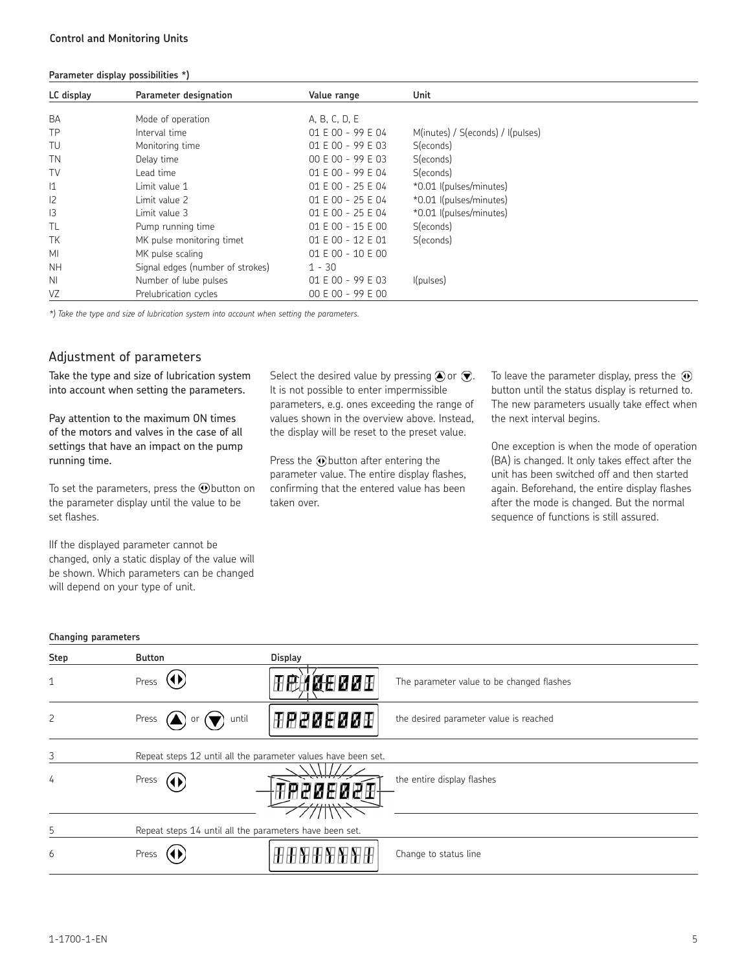#### **Parameter display possibilities \*)**

| LC display      | Parameter designation            | Value range         | Unit                              |
|-----------------|----------------------------------|---------------------|-----------------------------------|
| <b>BA</b>       | Mode of operation                | A, B, C, D, E       |                                   |
| TP              | Interval time                    | 01 E 00 - 99 E 04   | M(inutes) / S(econds) / I(pulses) |
| TU              | Monitoring time                  | 01 E 00 - 99 E 03   | S(econds)                         |
| <b>TN</b>       | Delay time                       | $00 E 00 - 99 E 03$ | S(econds)                         |
| TV              | Lead time                        | 01 E 00 - 99 E 04   | S(econds)                         |
| $\mathsf{I}1$   | Limit value 1                    | 01 E 00 - 25 E 04   | *0.01 I(pulses/minutes)           |
| 2               | Limit value 2                    | 01 E 00 - 25 E 04   | *0.01 I(pulses/minutes)           |
| $\overline{13}$ | Limit value 3                    | 01 E 00 - 25 E 04   | *0.01 I(pulses/minutes)           |
| TL              | Pump running time                | 01 E 00 - 15 E 00   | S(econds)                         |
| TK              | MK pulse monitoring timet        | 01 E 00 - 12 E 01   | S(econds)                         |
| MI              | MK pulse scaling                 | 01 E 00 - 10 E 00   |                                   |
| <b>NH</b>       | Signal edges (number of strokes) | $1 - 30$            |                                   |
| N <sub>1</sub>  | Number of lube pulses            | 01 E 00 - 99 E 03   | I(pulses)                         |
| VZ              | Prelubrication cycles            | 00 E 00 - 99 E 00   |                                   |

*\*) Take the type and size of lubrication system into account when setting the parameters.*

## Adjustment of parameters

Take the type and size of lubrication system into account when setting the parameters.

Pay attention to the maximum ON times of the motors and valves in the case of all settings that have an impact on the pump running time.

To set the parameters, press the  $\odot$  button on the parameter display until the value to be set flashes.

IIf the displayed parameter cannot be changed, only a static display of the value will be shown. Which parameters can be changed will depend on your type of unit.

Select the desired value by pressing  $\bigcirc$  or  $\bigcirc$ . It is not possible to enter impermissible parameters, e.g. ones exceeding the range of values shown in the overview above. Instead, the display will be reset to the preset value.

Press the  $\odot$  button after entering the parameter value. The entire display flashes, confirming that the entered value has been taken over.

To leave the parameter display, press the  $\odot$ button until the status display is returned to. The new parameters usually take effect when the next interval begins.

One exception is when the mode of operation (BA) is changed. It only takes effect after the unit has been switched off and then started again. Beforehand, the entire display flashes after the mode is changed. But the normal sequence of functions is still assured.

#### **Changing parameters**

| $\sim$ $\cdot$ |                                                         |                                                               |                                           |
|----------------|---------------------------------------------------------|---------------------------------------------------------------|-------------------------------------------|
| Step           | <b>Button</b>                                           | <b>Display</b>                                                |                                           |
| $\mathbf{1}$   | $\mathbf{U}$<br>Press                                   | 田鹿道餐田図図田                                                      | The parameter value to be changed flashes |
| $\overline{c}$ | Press $(\triangle)$ or $($<br>until                     | 田田田田田田田田                                                      | the desired parameter value is reached    |
| 3              |                                                         | Repeat steps 12 until all the parameter values have been set. |                                           |
| 4              | Press $(4)$                                             |                                                               | the entire display flashes                |
| 5              | Repeat steps 14 until all the parameters have been set. |                                                               |                                           |
| 6              | Press                                                   |                                                               | Change to status line                     |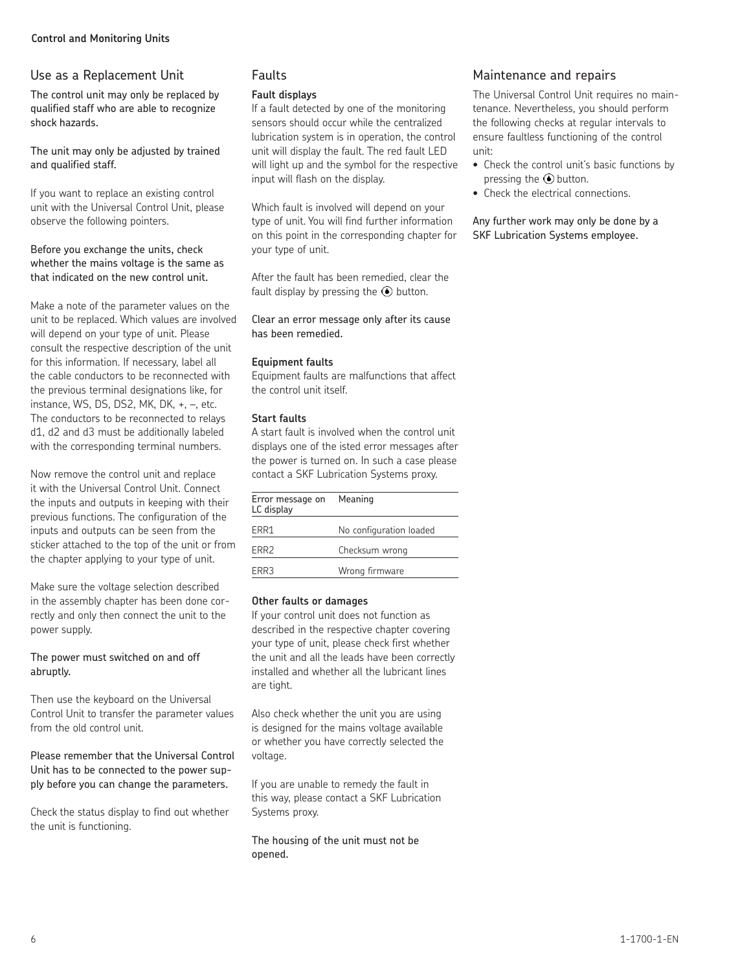## Use as a Replacement Unit

The control unit may only be replaced by qualified staff who are able to recognize shock hazards.

The unit may only be adjusted by trained and qualified staff.

If you want to replace an existing control unit with the Universal Control Unit, please observe the following pointers.

#### Before you exchange the units, check whether the mains voltage is the same as that indicated on the new control unit.

Make a note of the parameter values on the unit to be replaced. Which values are involved will depend on your type of unit. Please consult the respective description of the unit for this information. If necessary, label all the cable conductors to be reconnected with the previous terminal designations like, for instance, WS, DS, DS2, MK, DK, +, –, etc. The conductors to be reconnected to relays d1, d2 and d3 must be additionally labeled with the corresponding terminal numbers.

Now remove the control unit and replace it with the Universal Control Unit. Connect the inputs and outputs in keeping with their previous functions. The configuration of the inputs and outputs can be seen from the sticker attached to the top of the unit or from the chapter applying to your type of unit.

Make sure the voltage selection described in the assembly chapter has been done correctly and only then connect the unit to the power supply.

The power must switched on and off abruptly.

Then use the keyboard on the Universal Control Unit to transfer the parameter values from the old control unit.

Please remember that the Universal Control Unit has to be connected to the power supply before you can change the parameters.

Check the status display to find out whether the unit is functioning.

## Faults

#### **Fault displays**

If a fault detected by one of the monitoring sensors should occur while the centralized lubrication system is in operation, the control unit will display the fault. The red fault LED will light up and the symbol for the respective input will flash on the display.

Which fault is involved will depend on your type of unit. You will find further information on this point in the corresponding chapter for your type of unit.

After the fault has been remedied, clear the fault display by pressing the  $\circledbullet$  button.

Clear an error message only after its cause has been remedied.

#### **Equipment faults**

Equipment faults are malfunctions that affect the control unit itself.

#### **Start faults**

A start fault is involved when the control unit displays one of the isted error messages after the power is turned on. In such a case please contact a SKF Lubrication Systems proxy.

| Error message on<br>LC display | Meaning                 |
|--------------------------------|-------------------------|
| ERR1                           | No configuration loaded |
| ERR <sub>2</sub>               | Checksum wrong          |
| FRR3                           | Wrong firmware          |

#### **Other faults or damages**

If your control unit does not function as described in the respective chapter covering your type of unit, please check first whether the unit and all the leads have been correctly installed and whether all the lubricant lines are tight.

Also check whether the unit you are using is designed for the mains voltage available or whether you have correctly selected the voltage.

If you are unable to remedy the fault in this way, please contact a SKF Lubrication Systems proxy.

The housing of the unit must not be opened.

#### Maintenance and repairs

The Universal Control Unit requires no maintenance. Nevertheless, you should perform the following checks at regular intervals to ensure faultless functioning of the control unit:

- Check the control unit's basic functions by pressing the  $\odot$  button.
- Check the electrical connections.

Any further work may only be done by a SKF Lubrication Systems employee.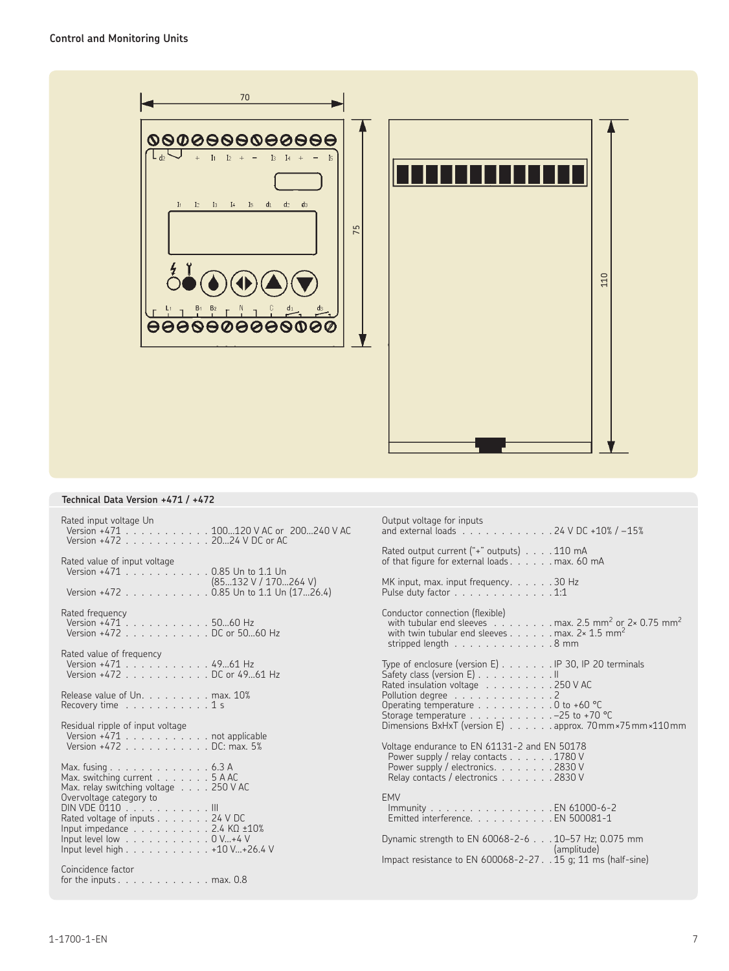

#### **Technical Data Version +471 / +472**

| Rated input voltage Un<br>Version +471 100120 V AC or 200240 V AC<br>Version +472 20  24 V DC or AC | Output voltage for inputs<br>and external loads 24 V DC +10% / -15%                                                                                                                                                                                         |
|-----------------------------------------------------------------------------------------------------|-------------------------------------------------------------------------------------------------------------------------------------------------------------------------------------------------------------------------------------------------------------|
| Rated value of input voltage                                                                        | Rated output current $("+"$ outputs $) \ldots \ldots$ 110 mA                                                                                                                                                                                                |
| Version +471 0.85 Un to 1.1 Un                                                                      | of that figure for external loads max. 60 mA                                                                                                                                                                                                                |
| (85132 V / 170264 V)                                                                                | MK input, max. input frequency. 30 Hz                                                                                                                                                                                                                       |
| Version +472 0.85 Un to 1.1 Un (1726.4)                                                             | Pulse duty factor $\ldots \ldots \ldots \ldots \ldots 1:1$                                                                                                                                                                                                  |
| Rated frequency<br>Version +471 5060 Hz<br>Version +472 DC or 5060 Hz                               | Conductor connection (flexible)<br>with tubular end sleeves . $\dots$ max. 2.5 mm <sup>2</sup> or 2× 0.75 mm <sup>2</sup><br>with twin tubular end sleeves max. $2 \times 1.5$ mm <sup>2</sup><br>stripped length $\ldots \ldots \ldots \ldots \ldots 8$ mm |
| Rated value of frequency                                                                            | Type of enclosure (version E) IP 30, IP 20 terminals                                                                                                                                                                                                        |
| Version +471 4961 Hz                                                                                | Safety class (version E) II                                                                                                                                                                                                                                 |
| Version +472 DC or 4961 Hz                                                                          | Rated insulation voltage 250 V AC                                                                                                                                                                                                                           |
| Release value of Un. max. 10%<br>Recovery time $\ldots$ , $\ldots$ , $\ldots$ 1 s                   | Pollution degree 2<br>Operating temperature $\ldots \ldots \ldots \ldots 0$ to +60 °C<br>Storage temperature $\ldots$ -25 to +70 °C                                                                                                                         |
| Residual ripple of input voltage<br>Version +471 not applicable<br>Version +472 DC: max. 5%         | Dimensions BxHxT (version E) approx. 70mm × 75 mm × 110 mm<br>Voltage endurance to EN 61131-2 and EN 50178                                                                                                                                                  |
| Max. fusing 6.3 A                                                                                   | Power supply / relay contacts 1780 V                                                                                                                                                                                                                        |
| Max. switching current $\ldots \ldots \ldots 5$ A AC                                                | Power supply / electronics. 2830 V                                                                                                                                                                                                                          |
| Max. relay switching voltage 250 V AC                                                               | Relay contacts / electronics 2830 V                                                                                                                                                                                                                         |
| Overvoltage category to                                                                             | <b>FMV</b>                                                                                                                                                                                                                                                  |
| DIN VDE 0110 III                                                                                    | Immunity BN 61000-6-2                                                                                                                                                                                                                                       |
| Rated voltage of inputs 24 V DC                                                                     | Emitted interference. EN 500081-1                                                                                                                                                                                                                           |
| Input impedance $\ldots$ 2.4 K $\Omega$ $\pm$ 10%                                                   | Dynamic strength to EN 60068-2-6 10-57 Hz; 0.075 mm                                                                                                                                                                                                         |
| Input level low $\ldots$ 0 V+4 V                                                                    | (amplitude)                                                                                                                                                                                                                                                 |
| Input level high 410 V+26.4 V                                                                       | Impact resistance to EN 600068-2-27 15 g; 11 ms (half-sine)                                                                                                                                                                                                 |
| Coincidence factor<br>for the inputs $\ldots$ , $\ldots$ , $\ldots$ , $\ldots$ max. 0.8             |                                                                                                                                                                                                                                                             |